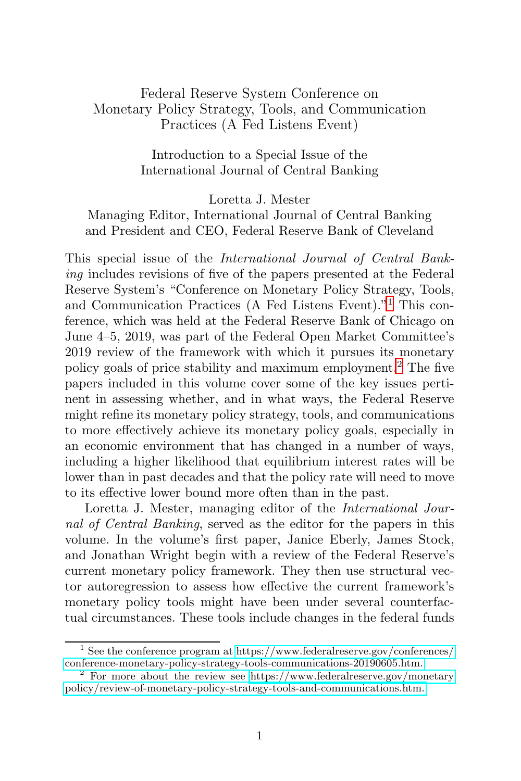## Federal Reserve System Conference on Monetary Policy Strategy, Tools, and Communication Practices (A Fed Listens Event)

Introduction to a Special Issue of the International Journal of Central Banking

Loretta J. Mester

Managing Editor, International Journal of Central Banking and President and CEO, Federal Reserve Bank of Cleveland

This special issue of the International Journal of Central Banking includes revisions of five of the papers presented at the Federal Reserve System's "Conference on Monetary Policy Strategy, Tools, and Communication Practices (A Fed Listens Event)."<sup>1</sup> This conference, which was held at the Federal Reserve Bank of Chicago on June 4–5, 2019, was part of the Federal Open Market Committee's 2019 review of the framework with which it pursues its monetary policy goals of price stability and maximum employment.<sup>2</sup> The five papers included in this volume cover some of the key issues pertinent in assessing whether, and in what ways, the Federal Reserve might refine its monetary policy strategy, tools, and communications to more effectively achieve its monetary policy goals, especially in an economic environment that has changed in a number of ways, including a higher likelihood that equilibrium interest rates will be lower than in past decades and that the policy rate will need to move to its effective lower bound more often than in the past.

Loretta J. Mester, managing editor of the International Journal of Central Banking, served as the editor for the papers in this volume. In the volume's first paper, Janice Eberly, James Stock, and Jonathan Wright begin with a review of the Federal Reserve's current monetary policy framework. They then use structural vector autoregression to assess how effective the current framework's monetary policy tools might have been under several counterfactual circumstances. These tools include changes in the federal funds

 $^1$  See the conference program at [https://www.federalreserve.gov/conferences/](https://www.federalreserve.gov/conferences/conference-monetary-policy-strategy-tools-communications-20190605.htm)conference-monetary-policy-strategy-tools-communications-20190605.htm.

<sup>&</sup>lt;sup>2</sup> For more about the review see [https://www.federalreserve.gov/monetary](https://www.federalreserve.gov/monetarypolicy/review-of-monetary-policy-strategy-tools-and-communications.htm) [policy/review-of-monetary-policy-strategy-tools-and-communications.htm.](https://www.federalreserve.gov/monetarypolicy/review-of-monetary-policy-strategy-tools-and-communications.htm)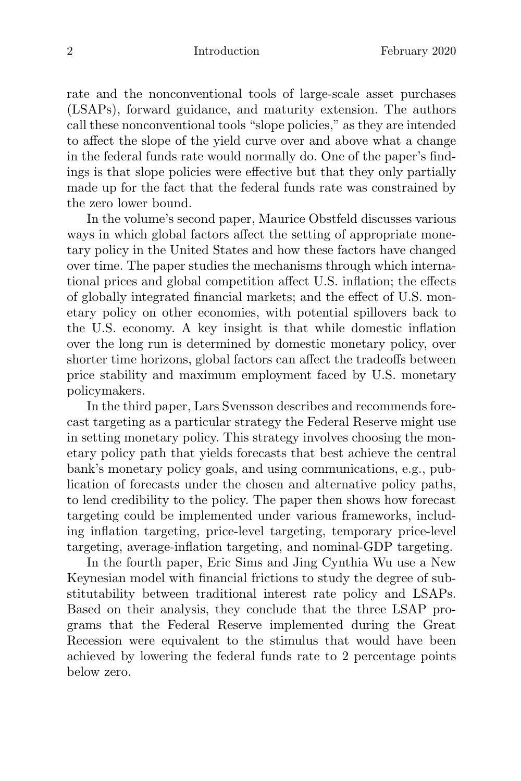rate and the nonconventional tools of large-scale asset purchases (LSAPs), forward guidance, and maturity extension. The authors call these nonconventional tools "slope policies," as they are intended to affect the slope of the yield curve over and above what a change in the federal funds rate would normally do. One of the paper's findings is that slope policies were effective but that they only partially made up for the fact that the federal funds rate was constrained by the zero lower bound.

In the volume's second paper, Maurice Obstfeld discusses various ways in which global factors affect the setting of appropriate monetary policy in the United States and how these factors have changed over time. The paper studies the mechanisms through which international prices and global competition affect U.S. inflation; the effects of globally integrated financial markets; and the effect of U.S. monetary policy on other economies, with potential spillovers back to the U.S. economy. A key insight is that while domestic inflation over the long run is determined by domestic monetary policy, over shorter time horizons, global factors can affect the tradeoffs between price stability and maximum employment faced by U.S. monetary policymakers.

In the third paper, Lars Svensson describes and recommends forecast targeting as a particular strategy the Federal Reserve might use in setting monetary policy. This strategy involves choosing the monetary policy path that yields forecasts that best achieve the central bank's monetary policy goals, and using communications, e.g., publication of forecasts under the chosen and alternative policy paths, to lend credibility to the policy. The paper then shows how forecast targeting could be implemented under various frameworks, including inflation targeting, price-level targeting, temporary price-level targeting, average-inflation targeting, and nominal-GDP targeting.

In the fourth paper, Eric Sims and Jing Cynthia Wu use a New Keynesian model with financial frictions to study the degree of substitutability between traditional interest rate policy and LSAPs. Based on their analysis, they conclude that the three LSAP programs that the Federal Reserve implemented during the Great Recession were equivalent to the stimulus that would have been achieved by lowering the federal funds rate to 2 percentage points below zero.